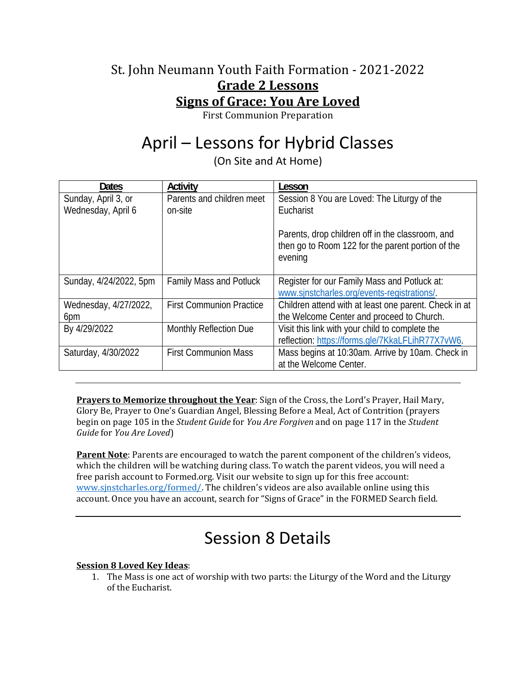### St. John Neumann Youth Faith Formation - 2021-2022 **Grade 2 Lessons Signs of Grace: You Are Loved**

First Communion Preparation

# April – Lessons for Hybrid Classes

(On Site and At Home)

| <b>Dates</b>           | Activity                        | Lesson                                                                                                           |
|------------------------|---------------------------------|------------------------------------------------------------------------------------------------------------------|
| Sunday, April 3, or    | Parents and children meet       | Session 8 You are Loved: The Liturgy of the                                                                      |
| Wednesday, April 6     | on-site                         | Eucharist                                                                                                        |
|                        |                                 | Parents, drop children off in the classroom, and<br>then go to Room 122 for the parent portion of the<br>evening |
| Sunday, 4/24/2022, 5pm | Family Mass and Potluck         | Register for our Family Mass and Potluck at:<br>www.sinstcharles.org/events-registrations/.                      |
| Wednesday, 4/27/2022,  | <b>First Communion Practice</b> | Children attend with at least one parent. Check in at                                                            |
| 6pm                    |                                 | the Welcome Center and proceed to Church.                                                                        |
| By 4/29/2022           | Monthly Reflection Due          | Visit this link with your child to complete the                                                                  |
|                        |                                 | reflection: https://forms.gle/7KkaLFLihR77X7vW6.                                                                 |
| Saturday, 4/30/2022    | <b>First Communion Mass</b>     | Mass begins at 10:30am. Arrive by 10am. Check in                                                                 |
|                        |                                 | at the Welcome Center.                                                                                           |

**Prayers to Memorize throughout the Year**: Sign of the Cross, the Lord's Prayer, Hail Mary, Glory Be, Prayer to One's Guardian Angel, Blessing Before a Meal, Act of Contrition (prayers begin on page 105 in the *Student Guide* for *You Are Forgiven* and on page 117 in the *Student Guide* for *You Are Loved*)

**Parent Note**: Parents are encouraged to watch the parent component of the children's videos, which the children will be watching during class. To watch the parent videos, you will need a free parish account to Formed.org. Visit our website to sign up for this free account: www.sjnstcharles.org/formed/. The children's videos are also available online using this account. Once you have an account, search for "Signs of Grace" in the FORMED Search field.

## Session 8 Details

#### **Session 8 Loved Key Ideas**:

1. The Mass is one act of worship with two parts: the Liturgy of the Word and the Liturgy of the Eucharist.